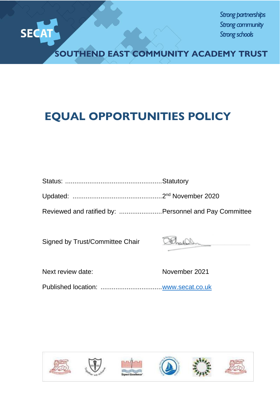

*Strong partnerships Strong community Strong schools*

**SOUTHEND EAST COMMUNITY ACADEMY TRUST**

# **EQUAL OPPORTUNITIES POLICY**

|--|--|

Updated: ................................................2 nd November 2020

Reviewed and ratified by: .......................Personnel and Pay Committee

Signed by Trust/Committee Chair

Next review date: November 2021

Published location: ................................[.www.secat.co.uk](http://www.secat.co.uk/)











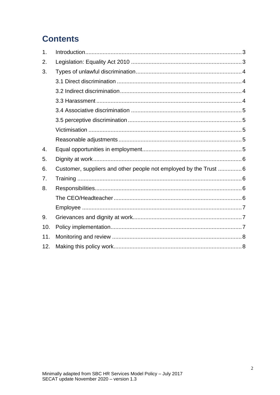# **Contents**

| 1.               |                                                                   |  |
|------------------|-------------------------------------------------------------------|--|
| 2.               |                                                                   |  |
| 3.               |                                                                   |  |
|                  |                                                                   |  |
|                  |                                                                   |  |
|                  |                                                                   |  |
|                  |                                                                   |  |
|                  |                                                                   |  |
|                  |                                                                   |  |
|                  |                                                                   |  |
| $\overline{4}$ . |                                                                   |  |
| 5.               |                                                                   |  |
| 6.               | Customer, suppliers and other people not employed by the Trust  6 |  |
| 7.               |                                                                   |  |
| 8.               |                                                                   |  |
|                  |                                                                   |  |
|                  |                                                                   |  |
| 9.               |                                                                   |  |
| 10.              |                                                                   |  |
| 11.              |                                                                   |  |
| 12.              |                                                                   |  |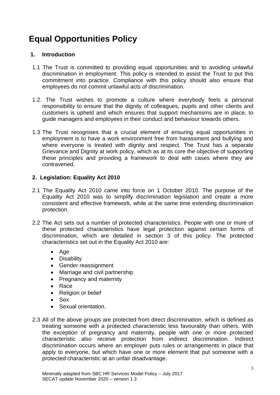# **Equal Opportunities Policy**

# **1. Introduction**

- 1.1 The Trust is committed to providing equal opportunities and to avoiding unlawful discrimination in employment. This policy is intended to assist the Trust to put this commitment into practice. Compliance with this policy should also ensure that employees do not commit unlawful acts of discrimination.
- 1.2. The Trust wishes to promote a culture where everybody feels a personal responsibility to ensure that the dignity of colleagues, pupils and other clients and customers is upheld and which ensures that support mechanisms are in place, to guide managers and employees in their conduct and behaviour towards others.
- 1.3 The Trust recognises that a crucial element of ensuring equal opportunities in employment is to have a work environment free from harassment and bullying and where everyone is treated with dignity and respect. The Trust has a separate Grievance and Dignity at work policy, which as at its core the objective of supporting these principles and providing a framework to deal with cases where they are contravened.

# **2. Legislation: Equality Act 2010**

- 2.1 The Equality Act 2010 came into force on 1 October 2010. The purpose of the Equality Act 2010 was to simplify discrimination legislation and create a more consistent and effective framework, while at the same time extending discrimination protection.
- 2.2 The Act sets out a number of protected characteristics. People with one or more of these protected characteristics have legal protection against certain forms of discrimination, which are detailed in section 3 of this policy. The protected characteristics set out in the Equality Act 2010 are:
	- Age
	- Disability
	- Gender reassignment
	- Marriage and civil partnership
	- Pregnancy and maternity
	- Race
	- Religion or belief
	- Sex
	- Sexual orientation.
- 2.3 All of the above groups are protected from direct discrimination, which is defined as treating someone with a protected characteristic less favourably than others. With the exception of pregnancy and maternity, people with one or more protected characteristic also receive protection from indirect discrimination. Indirect discrimination occurs where an employer puts rules or arrangements in place that apply to everyone, but which have one or more element that put someone with a protected characteristic at an unfair disadvantage.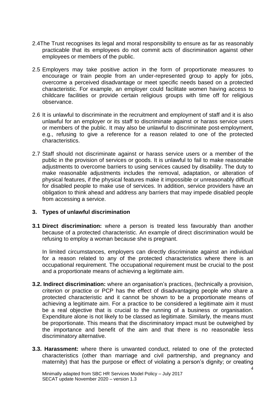- 2.4The Trust recognises its legal and moral responsibility to ensure as far as reasonably practicable that its employees do not commit acts of discrimination against other employees or members of the public.
- 2.5 Employers may take positive action in the form of proportionate measures to encourage or train people from an under-represented group to apply for jobs, overcome a perceived disadvantage or meet specific needs based on a protected characteristic. For example, an employer could facilitate women having access to childcare facilities or provide certain religious groups with time off for religious observance.
- 2.6 It is unlawful to discriminate in the recruitment and employment of staff and it is also unlawful for an employer or its staff to discriminate against or harass service users or members of the public. It may also be unlawful to discriminate post-employment, e.g., refusing to give a reference for a reason related to one of the protected characteristics.
- 2.7 Staff should not discriminate against or harass service users or a member of the public in the provision of services or goods. It is unlawful to fail to make reasonable adjustments to overcome barriers to using services caused by disability. The duty to make reasonable adjustments includes the removal, adaptation, or alteration of physical features, if the physical features make it impossible or unreasonably difficult for disabled people to make use of services. In addition, service providers have an obligation to think ahead and address any barriers that may impede disabled people from accessing a service.

## **3. Types of unlawful discrimination**

**3.1 Direct discrimination:** where a person is treated less favourably than another because of a protected characteristic. An example of direct discrimination would be refusing to employ a woman because she is pregnant.

In limited circumstances, employers can directly discriminate against an individual for a reason related to any of the protected characteristics where there is an occupational requirement. The occupational requirement must be crucial to the post and a proportionate means of achieving a legitimate aim.

- **3.2. Indirect discrimination:** where an organisation's practices, (technically a provision, criterion or practice or PCP has the effect of disadvantaging people who share a protected characteristic and it cannot be shown to be a proportionate means of achieving a legitimate aim. For a practice to be considered a legitimate aim it must be a real objective that is crucial to the running of a business or organisation. Expenditure alone is not likely to be classed as legitimate. Similarly, the means must be proportionate. This means that the discriminatory impact must be outweighed by the importance and benefit of the aim and that there is no reasonable less discriminatory alternative.
- **3.3. Harassment:** where there is unwanted conduct, related to one of the protected characteristics (other than marriage and civil partnership, and pregnancy and maternity) that has the purpose or effect of violating a person's dignity; or creating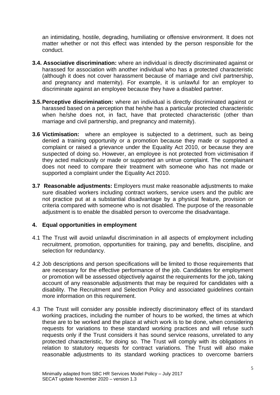an intimidating, hostile, degrading, humiliating or offensive environment. It does not matter whether or not this effect was intended by the person responsible for the conduct.

- **3.4. Associative discrimination:** where an individual is directly discriminated against or harassed for association with another individual who has a protected characteristic (although it does not cover harassment because of marriage and civil partnership, and pregnancy and maternity). For example, it is unlawful for an employer to discriminate against an employee because they have a disabled partner.
- **3.5.Perceptive discrimination:** where an individual is directly discriminated against or harassed based on a perception that he/she has a particular protected characteristic when he/she does not, in fact, have that protected characteristic (other than marriage and civil partnership, and pregnancy and maternity).
- **3.6 Victimisation:** where an employee is subjected to a detriment, such as being denied a training opportunity or a promotion because they made or supported a complaint or raised a grievance under the Equality Act 2010, or because they are suspected of doing so. However, an employee is not protected from victimisation if they acted maliciously or made or supported an untrue complaint. The complainant does not need to compare their treatment with someone who has not made or supported a complaint under the Equality Act 2010.
- **3.7 Reasonable adjustments:** Employers must make reasonable adjustments to make sure disabled workers including contract workers, service users and the public are not practice put at a substantial disadvantage by a physical feature, provision or criteria compared with someone who is not disabled. The purpose of the reasonable adjustment is to enable the disabled person to overcome the disadvantage.

## **4. Equal opportunities in employment**

- 4.1 The Trust will avoid unlawful discrimination in all aspects of employment including recruitment, promotion, opportunities for training, pay and benefits, discipline, and selection for redundancy.
- 4.2 Job descriptions and person specifications will be limited to those requirements that are necessary for the effective performance of the job. Candidates for employment or promotion will be assessed objectively against the requirements for the job, taking account of any reasonable adjustments that may be required for candidates with a disability. The Recruitment and Selection Policy and associated guidelines contain more information on this requirement.
- 4.3 The Trust will consider any possible indirectly discriminatory effect of its standard working practices, including the number of hours to be worked, the times at which these are to be worked and the place at which work is to be done, when considering requests for variations to these standard working practices and will refuse such requests only if the Trust considers it has sound service reasons, unrelated to any protected characteristic, for doing so. The Trust will comply with its obligations in relation to statutory requests for contract variations. The Trust will also make reasonable adjustments to its standard working practices to overcome barriers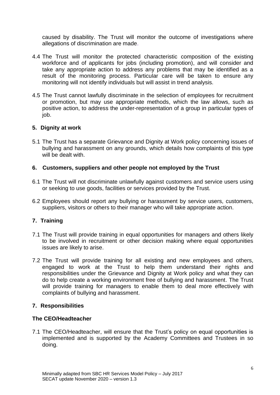caused by disability. The Trust will monitor the outcome of investigations where allegations of discrimination are made.

- 4.4 The Trust will monitor the protected characteristic composition of the existing workforce and of applicants for jobs (including promotion), and will consider and take any appropriate action to address any problems that may be identified as a result of the monitoring process. Particular care will be taken to ensure any monitoring will not identify individuals but will assist in trend analysis.
- 4.5 The Trust cannot lawfully discriminate in the selection of employees for recruitment or promotion, but may use appropriate methods, which the law allows, such as positive action, to address the under-representation of a group in particular types of job.

## **5. Dignity at work**

5.1 The Trust has a separate Grievance and Dignity at Work policy concerning issues of bullying and harassment on any grounds, which details how complaints of this type will be dealt with.

# **6. Customers, suppliers and other people not employed by the Trust**

- 6.1 The Trust will not discriminate unlawfully against customers and service users using or seeking to use goods, facilities or services provided by the Trust.
- 6.2 Employees should report any bullying or harassment by service users, customers, suppliers, visitors or others to their manager who will take appropriate action.

# **7. Training**

- 7.1 The Trust will provide training in equal opportunities for managers and others likely to be involved in recruitment or other decision making where equal opportunities issues are likely to arise.
- 7.2 The Trust will provide training for all existing and new employees and others, engaged to work at the Trust to help them understand their rights and responsibilities under the Grievance and Dignity at Work policy and what they can do to help create a working environment free of bullying and harassment. The Trust will provide training for managers to enable them to deal more effectively with complaints of bullying and harassment.

# **7. Responsibilities**

## **The CEO/Headteacher**

7.1 The CEO/Headteacher, will ensure that the Trust's policy on equal opportunities is implemented and is supported by the Academy Committees and Trustees in so doing.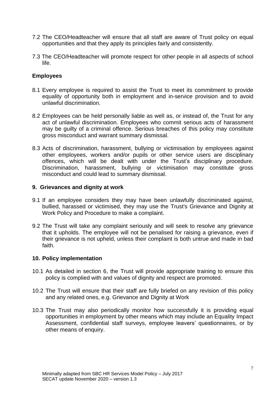- 7.2 The CEO/Headteacher will ensure that all staff are aware of Trust policy on equal opportunities and that they apply its principles fairly and consistently.
- 7.3 The CEO/Headteacher will promote respect for other people in all aspects of school life.

# **Employees**

- 8.1 Every employee is required to assist the Trust to meet its commitment to provide equality of opportunity both in employment and in-service provision and to avoid unlawful discrimination.
- 8.2 Employees can be held personally liable as well as, or instead of, the Trust for any act of unlawful discrimination. Employees who commit serious acts of harassment may be guilty of a criminal offence. Serious breaches of this policy may constitute gross misconduct and warrant summary dismissal.
- 8.3 Acts of discrimination, harassment, bullying or victimisation by employees against other employees, workers and/or pupils or other service users are disciplinary offences, which will be dealt with under the Trust's disciplinary procedure. Discrimination, harassment, bullying or victimisation may constitute gross misconduct and could lead to summary dismissal.

## **9. Grievances and dignity at work**

- 9.1 If an employee considers they may have been unlawfully discriminated against, bullied, harassed or victimised, they may use the Trust's Grievance and Dignity at Work Policy and Procedure to make a complaint.
- 9.2 The Trust will take any complaint seriously and will seek to resolve any grievance that it upholds. The employee will not be penalised for raising a grievance, even if their grievance is not upheld, unless their complaint is both untrue and made in bad faith.

## **10. Policy implementation**

- 10.1 As detailed in section 6, the Trust will provide appropriate training to ensure this policy is complied with and values of dignity and respect are promoted.
- 10.2 The Trust will ensure that their staff are fully briefed on any revision of this policy and any related ones, e.g. Grievance and Dignity at Work
- 10.3 The Trust may also periodically monitor how successfully it is providing equal opportunities in employment by other means which may include an Equality Impact Assessment, confidential staff surveys, employee leavers' questionnaires, or by other means of enquiry.